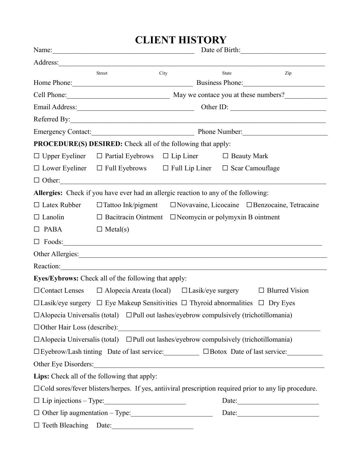## **CLIENT HISTORY**

|                      | Name:<br>Date of Birth:                                                                               |      |  |       |                                                                                                               |
|----------------------|-------------------------------------------------------------------------------------------------------|------|--|-------|---------------------------------------------------------------------------------------------------------------|
|                      |                                                                                                       |      |  |       |                                                                                                               |
|                      | Street                                                                                                | City |  | State | Zip                                                                                                           |
|                      | Home Phone: Business Phone:                                                                           |      |  |       |                                                                                                               |
|                      | Cell Phone: May we contace you at these numbers?                                                      |      |  |       |                                                                                                               |
|                      |                                                                                                       |      |  |       |                                                                                                               |
|                      |                                                                                                       |      |  |       |                                                                                                               |
|                      | Emergency Contact: Phone Number:                                                                      |      |  |       |                                                                                                               |
|                      | <b>PROCEDURE(S) DESIRED:</b> Check all of the following that apply:                                   |      |  |       |                                                                                                               |
|                      | $\Box$ Upper Eyeliner $\Box$ Partial Eyebrows $\Box$ Lip Liner $\Box$ Beauty Mark                     |      |  |       |                                                                                                               |
|                      | $\Box$ Lower Eyeliner $\Box$ Full Eyebrows $\Box$ Full Lip Liner $\Box$ Scar Camouflage               |      |  |       |                                                                                                               |
|                      |                                                                                                       |      |  |       |                                                                                                               |
|                      | Allergies: Check if you have ever had an allergic reaction to any of the following:                   |      |  |       |                                                                                                               |
|                      |                                                                                                       |      |  |       | $\Box$ Latex Rubber $\Box$ Tattoo Ink/pigment $\Box$ Novavaine, Licocaine $\Box$ Benzocaine, Tetracaine       |
| $\Box$ Lanolin       | $\Box$ Bacitracin Ointment $\Box$ Neomycin or polymyxin B ointment                                    |      |  |       |                                                                                                               |
| $\Box$ PABA          | $\Box$ Metal(s)                                                                                       |      |  |       |                                                                                                               |
|                      |                                                                                                       |      |  |       |                                                                                                               |
|                      |                                                                                                       |      |  |       |                                                                                                               |
|                      | Reaction:                                                                                             |      |  |       |                                                                                                               |
|                      | <b>Eyes/Eybrows:</b> Check all of the following that apply:                                           |      |  |       |                                                                                                               |
|                      | $\Box$ Contact Lenses $\Box$ Alopecia Areata (local) $\Box$ Lasik/eye surgery $\Box$ Blurred Vision   |      |  |       |                                                                                                               |
|                      | $\Box$ Lasik/eye surgery $\Box$ Eye Makeup Sensitivities $\Box$ Thyroid abnormalities $\Box$ Dry Eyes |      |  |       |                                                                                                               |
|                      | $\Box$ Alopecia Universalis (total) $\Box$ Pull out lashes/eyebrow compulsively (trichotillomania)    |      |  |       |                                                                                                               |
|                      |                                                                                                       |      |  |       |                                                                                                               |
|                      | $\Box$ Alopecia Universalis (total) $\Box$ Pull out lashes/eyebrow compulsively (trichotillomania)    |      |  |       |                                                                                                               |
|                      |                                                                                                       |      |  |       | □ Eyebrow/Lash tinting Date of last service: □ □ Botox Date of last service: □                                |
| Other Eye Disorders: |                                                                                                       |      |  |       |                                                                                                               |
|                      | Lips: Check all of the following that apply:                                                          |      |  |       |                                                                                                               |
|                      |                                                                                                       |      |  |       | $\Box$ Cold sores/fever blisters/herpes. If yes, antiiviral prescription required prior to any lip procedure. |
|                      | $\Box$ Lip injections - Type:                                                                         |      |  |       | Date: $\qquad \qquad$                                                                                         |
|                      | $\Box$ Other lip augmentation – Type:                                                                 |      |  |       | Date: $\qquad \qquad$                                                                                         |
|                      |                                                                                                       |      |  |       |                                                                                                               |